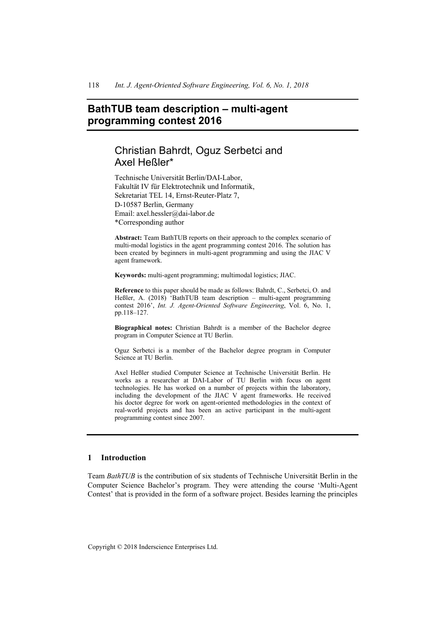# **BathTUB team description – multi-agent programming contest 2016**

## Christian Bahrdt, Oguz Serbetci and Axel Heßler\*

Technische Universität Berlin/DAI-Labor, Fakultät IV für Elektrotechnik und Informatik, Sekretariat TEL 14, Ernst-Reuter-Platz 7, D-10587 Berlin, Germany Email: axel.hessler@dai-labor.de \*Corresponding author

**Abstract:** Team BathTUB reports on their approach to the complex scenario of multi-modal logistics in the agent programming contest 2016. The solution has been created by beginners in multi-agent programming and using the JIAC V agent framework.

**Keywords:** multi-agent programming; multimodal logistics; JIAC.

**Reference** to this paper should be made as follows: Bahrdt, C., Serbetci, O. and Heßler, A. (2018) 'BathTUB team description – multi-agent programming contest 2016', *Int. J. Agent-Oriented Software Engineering*, Vol. 6, No. 1, pp.118–127.

**Biographical notes:** Christian Bahrdt is a member of the Bachelor degree program in Computer Science at TU Berlin.

Oguz Serbetci is a member of the Bachelor degree program in Computer Science at TU Berlin.

Axel Heßler studied Computer Science at Technische Universität Berlin. He works as a researcher at DAI-Labor of TU Berlin with focus on agent technologies. He has worked on a number of projects within the laboratory, including the development of the JIAC V agent frameworks. He received his doctor degree for work on agent-oriented methodologies in the context of real-world projects and has been an active participant in the multi-agent programming contest since 2007.

## **1 Introduction**

Team *BathTUB* is the contribution of six students of Technische Universität Berlin in the Computer Science Bachelor's program. They were attending the course 'Multi-Agent Contest' that is provided in the form of a software project. Besides learning the principles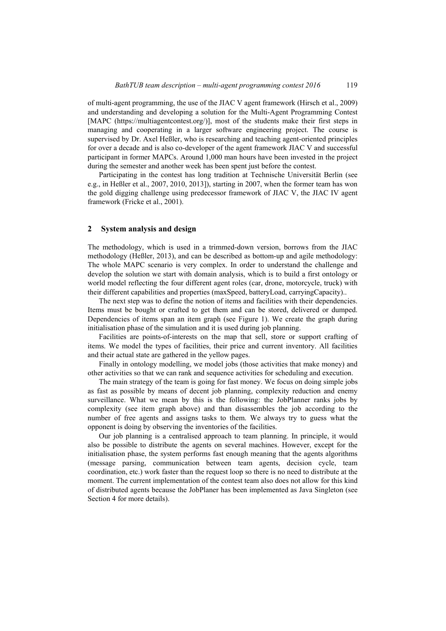of multi-agent programming, the use of the JIAC V agent framework (Hirsch et al., 2009) and understanding and developing a solution for the Multi-Agent Programming Contest [MAPC (https://multiagentcontest.org/)], most of the students make their first steps in managing and cooperating in a larger software engineering project. The course is supervised by Dr. Axel Heßler, who is researching and teaching agent-oriented principles for over a decade and is also co-developer of the agent framework JIAC V and successful participant in former MAPCs. Around 1,000 man hours have been invested in the project during the semester and another week has been spent just before the contest.

Participating in the contest has long tradition at Technische Universität Berlin (see e.g., in Heßler et al., 2007, 2010, 2013]), starting in 2007, when the former team has won the gold digging challenge using predecessor framework of JIAC V, the JIAC IV agent framework (Fricke et al., 2001).

#### **2 System analysis and design**

The methodology, which is used in a trimmed-down version, borrows from the JIAC methodology (Heßler, 2013), and can be described as bottom-up and agile methodology: The whole MAPC scenario is very complex. In order to understand the challenge and develop the solution we start with domain analysis, which is to build a first ontology or world model reflecting the four different agent roles (car, drone, motorcycle, truck) with their different capabilities and properties (maxSpeed, batteryLoad, carryingCapacity)..

The next step was to define the notion of items and facilities with their dependencies. Items must be bought or crafted to get them and can be stored, delivered or dumped. Dependencies of items span an item graph (see Figure 1). We create the graph during initialisation phase of the simulation and it is used during job planning.

Facilities are points-of-interests on the map that sell, store or support crafting of items. We model the types of facilities, their price and current inventory. All facilities and their actual state are gathered in the yellow pages.

Finally in ontology modelling, we model jobs (those activities that make money) and other activities so that we can rank and sequence activities for scheduling and execution.

The main strategy of the team is going for fast money. We focus on doing simple jobs as fast as possible by means of decent job planning, complexity reduction and enemy surveillance. What we mean by this is the following: the JobPlanner ranks jobs by complexity (see item graph above) and than disassembles the job according to the number of free agents and assigns tasks to them. We always try to guess what the opponent is doing by observing the inventories of the facilities.

Our job planning is a centralised approach to team planning. In principle, it would also be possible to distribute the agents on several machines. However, except for the initialisation phase, the system performs fast enough meaning that the agents algorithms (message parsing, communication between team agents, decision cycle, team coordination, etc.) work faster than the request loop so there is no need to distribute at the moment. The current implementation of the contest team also does not allow for this kind of distributed agents because the JobPlaner has been implemented as Java Singleton (see Section 4 for more details).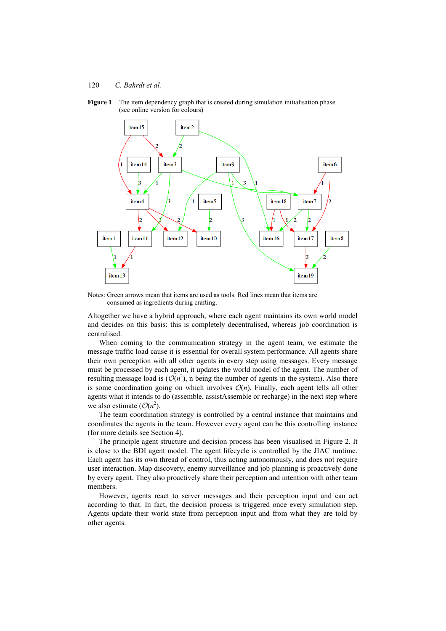

**Figure 1** The item dependency graph that is created during simulation initialisation phase (see online version for colours)

Notes: Green arrows mean that items are used as tools. Red lines mean that items are consumed as ingredients during crafting.

Altogether we have a hybrid approach, where each agent maintains its own world model and decides on this basis: this is completely decentralised, whereas job coordination is centralised.

When coming to the communication strategy in the agent team, we estimate the message traffic load cause it is essential for overall system performance. All agents share their own perception with all other agents in every step using messages. Every message must be processed by each agent, it updates the world model of the agent. The number of resulting message load is  $(\mathcal{O}(n^2))$ , n being the number of agents in the system). Also there is some coordination going on which involves  $O(n)$ . Finally, each agent tells all other agents what it intends to do (assemble, assistAssemble or recharge) in the next step where we also estimate  $(\mathcal{O}(n^2))$ .

The team coordination strategy is controlled by a central instance that maintains and coordinates the agents in the team. However every agent can be this controlling instance (for more details see Section 4).

The principle agent structure and decision process has been visualised in Figure 2. It is close to the BDI agent model. The agent lifecycle is controlled by the JIAC runtime. Each agent has its own thread of control, thus acting autonomously, and does not require user interaction. Map discovery, enemy surveillance and job planning is proactively done by every agent. They also proactively share their perception and intention with other team members.

However, agents react to server messages and their perception input and can act according to that. In fact, the decision process is triggered once every simulation step. Agents update their world state from perception input and from what they are told by other agents.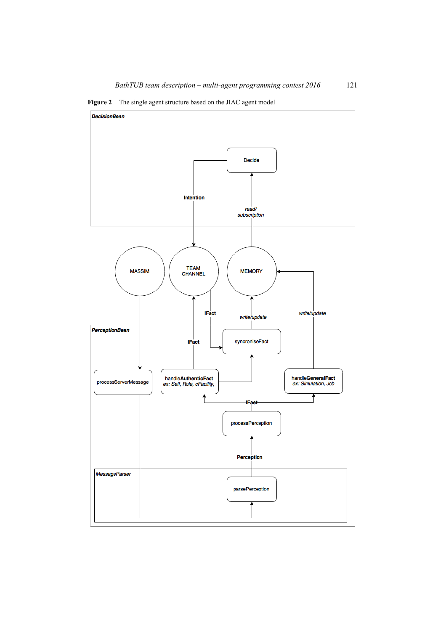**Figure 2** The single agent structure based on the JIAC agent model

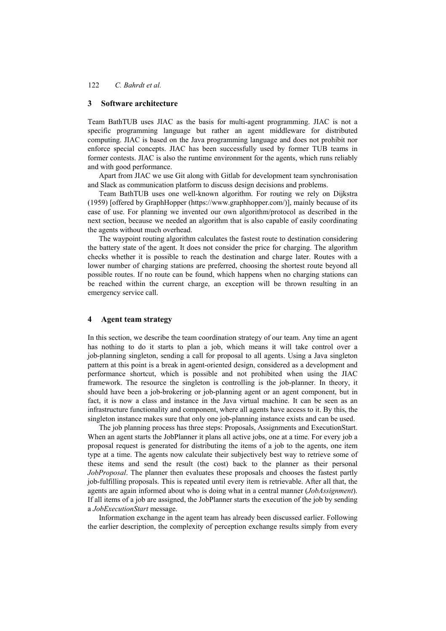#### **3 Software architecture**

Team BathTUB uses JIAC as the basis for multi-agent programming. JIAC is not a specific programming language but rather an agent middleware for distributed computing. JIAC is based on the Java programming language and does not prohibit nor enforce special concepts. JIAC has been successfully used by former TUB teams in former contests. JIAC is also the runtime environment for the agents, which runs reliably and with good performance.

Apart from JIAC we use Git along with Gitlab for development team synchronisation and Slack as communication platform to discuss design decisions and problems.

Team BathTUB uses one well-known algorithm. For routing we rely on Dijkstra (1959) [offered by GraphHopper (https://www.graphhopper.com/)], mainly because of its ease of use. For planning we invented our own algorithm/protocol as described in the next section, because we needed an algorithm that is also capable of easily coordinating the agents without much overhead.

The waypoint routing algorithm calculates the fastest route to destination considering the battery state of the agent. It does not consider the price for charging. The algorithm checks whether it is possible to reach the destination and charge later. Routes with a lower number of charging stations are preferred, choosing the shortest route beyond all possible routes. If no route can be found, which happens when no charging stations can be reached within the current charge, an exception will be thrown resulting in an emergency service call.

#### **4 Agent team strategy**

In this section, we describe the team coordination strategy of our team. Any time an agent has nothing to do it starts to plan a job, which means it will take control over a job-planning singleton, sending a call for proposal to all agents. Using a Java singleton pattern at this point is a break in agent-oriented design, considered as a development and performance shortcut, which is possible and not prohibited when using the JIAC framework. The resource the singleton is controlling is the job-planner. In theory, it should have been a job-brokering or job-planning agent or an agent component, but in fact, it is now a class and instance in the Java virtual machine. It can be seen as an infrastructure functionality and component, where all agents have access to it. By this, the singleton instance makes sure that only one job-planning instance exists and can be used.

The job planning process has three steps: Proposals, Assignments and ExecutionStart. When an agent starts the JobPlanner it plans all active jobs, one at a time. For every job a proposal request is generated for distributing the items of a job to the agents, one item type at a time. The agents now calculate their subjectively best way to retrieve some of these items and send the result (the cost) back to the planner as their personal *JobProposal*. The planner then evaluates these proposals and chooses the fastest partly job-fulfilling proposals. This is repeated until every item is retrievable. After all that, the agents are again informed about who is doing what in a central manner (*JobAssignment*). If all items of a job are assigned, the JobPlanner starts the execution of the job by sending a *JobExecutionStart* message.

Information exchange in the agent team has already been discussed earlier. Following the earlier description, the complexity of perception exchange results simply from every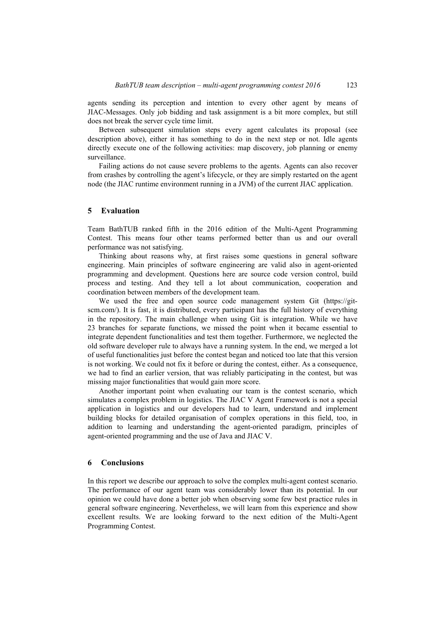agents sending its perception and intention to every other agent by means of JIAC-Messages. Only job bidding and task assignment is a bit more complex, but still does not break the server cycle time limit.

Between subsequent simulation steps every agent calculates its proposal (see description above), either it has something to do in the next step or not. Idle agents directly execute one of the following activities: map discovery, job planning or enemy surveillance.

Failing actions do not cause severe problems to the agents. Agents can also recover from crashes by controlling the agent's lifecycle, or they are simply restarted on the agent node (the JIAC runtime environment running in a JVM) of the current JIAC application.

#### **5 Evaluation**

Team BathTUB ranked fifth in the 2016 edition of the Multi-Agent Programming Contest. This means four other teams performed better than us and our overall performance was not satisfying.

Thinking about reasons why, at first raises some questions in general software engineering. Main principles of software engineering are valid also in agent-oriented programming and development. Questions here are source code version control, build process and testing. And they tell a lot about communication, cooperation and coordination between members of the development team.

We used the free and open source code management system Git (https://gitscm.com/). It is fast, it is distributed, every participant has the full history of everything in the repository. The main challenge when using Git is integration. While we have 23 branches for separate functions, we missed the point when it became essential to integrate dependent functionalities and test them together. Furthermore, we neglected the old software developer rule to always have a running system. In the end, we merged a lot of useful functionalities just before the contest began and noticed too late that this version is not working. We could not fix it before or during the contest, either. As a consequence, we had to find an earlier version, that was reliably participating in the contest, but was missing major functionalities that would gain more score.

Another important point when evaluating our team is the contest scenario, which simulates a complex problem in logistics. The JIAC V Agent Framework is not a special application in logistics and our developers had to learn, understand and implement building blocks for detailed organisation of complex operations in this field, too, in addition to learning and understanding the agent-oriented paradigm, principles of agent-oriented programming and the use of Java and JIAC V.

#### **6 Conclusions**

In this report we describe our approach to solve the complex multi-agent contest scenario. The performance of our agent team was considerably lower than its potential. In our opinion we could have done a better job when observing some few best practice rules in general software engineering. Nevertheless, we will learn from this experience and show excellent results. We are looking forward to the next edition of the Multi-Agent Programming Contest.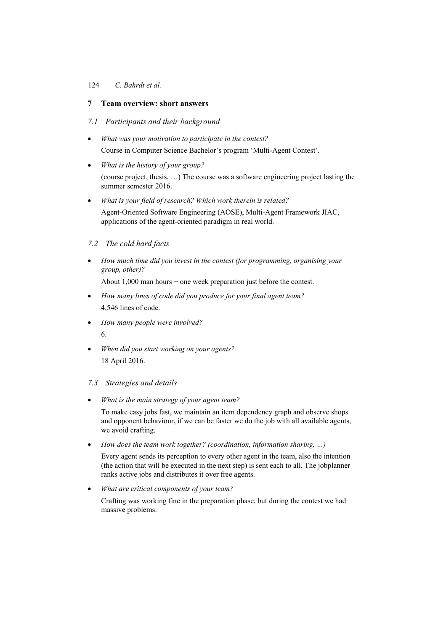## **7 Team overview: short answers**

- *7.1 Participants and their background*
- *What was your motivation to participate in the contest?* Course in Computer Science Bachelor's program 'Multi-Agent Contest'.
- *What is the history of your group?* (course project, thesis, …) The course was a software engineering project lasting the summer semester 2016.
- *What is your field of research? Which work therein is related?*  Agent-Oriented Software Engineering (AOSE), Multi-Agent Framework JIAC, applications of the agent-oriented paradigm in real world.

## *7.2 The cold hard facts*

• *How much time did you invest in the contest (for programming, organising your group, other)?*

About 1,000 man hours + one week preparation just before the contest.

- *How many lines of code did you produce for your final agent team?*  4,546 lines of code.
- *How many people were involved?*  6.
- *When did you start working on your agents?*  18 April 2016.

## *7.3 Strategies and details*

• *What is the main strategy of your agent team?*

To make easy jobs fast, we maintain an item dependency graph and observe shops and opponent behaviour, if we can be faster we do the job with all available agents, we avoid crafting.

• *How does the team work together? (coordination, information sharing, …)* 

Every agent sends its perception to every other agent in the team, also the intention (the action that will be executed in the next step) is sent each to all. The jobplanner ranks active jobs and distributes it over free agents.

• *What are critical components of your team?* 

Crafting was working fine in the preparation phase, but during the contest we had massive problems.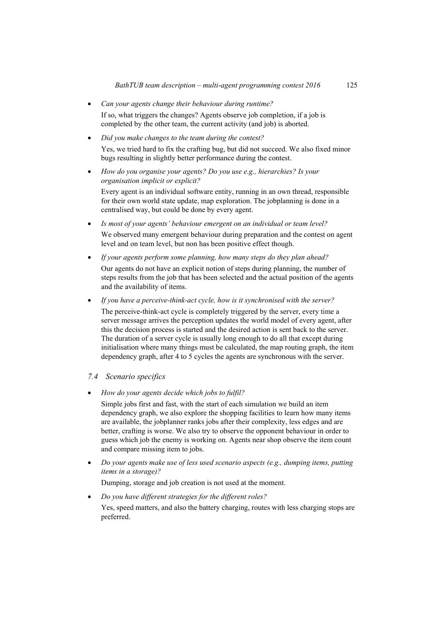- *Can your agents change their behaviour during runtime?*  If so, what triggers the changes? Agents observe job completion, if a job is completed by the other team, the current activity (and job) is aborted.
- *Did you make changes to the team during the contest?*  Yes, we tried hard to fix the crafting bug, but did not succeed. We also fixed minor bugs resulting in slightly better performance during the contest.
- *How do you organise your agents? Do you use e.g., hierarchies? Is your organisation implicit or explicit?*

Every agent is an individual software entity, running in an own thread, responsible for their own world state update, map exploration. The jobplanning is done in a centralised way, but could be done by every agent.

- *Is most of your agents' behaviour emergent on an individual or team level?*  We observed many emergent behaviour during preparation and the contest on agent level and on team level, but non has been positive effect though.
- *If your agents perform some planning, how many steps do they plan ahead?*  Our agents do not have an explicit notion of steps during planning, the number of steps results from the job that has been selected and the actual position of the agents and the availability of items.
- *If you have a perceive-think-act cycle, how is it synchronised with the server?*

The perceive-think-act cycle is completely triggered by the server, every time a server message arrives the perception updates the world model of every agent, after this the decision process is started and the desired action is sent back to the server. The duration of a server cycle is usually long enough to do all that except during initialisation where many things must be calculated, the map routing graph, the item dependency graph, after 4 to 5 cycles the agents are synchronous with the server.

## *7.4 Scenario specifics*

• *How do your agents decide which jobs to fulfil?* 

Simple jobs first and fast, with the start of each simulation we build an item dependency graph, we also explore the shopping facilities to learn how many items are available, the jobplanner ranks jobs after their complexity, less edges and are better, crafting is worse. We also try to observe the opponent behaviour in order to guess which job the enemy is working on. Agents near shop observe the item count and compare missing item to jobs.

• *Do your agents make use of less used scenario aspects (e.g., dumping items, putting items in a storage)?* 

Dumping, storage and job creation is not used at the moment.

• *Do you have different strategies for the different roles?* 

Yes, speed matters, and also the battery charging, routes with less charging stops are preferred.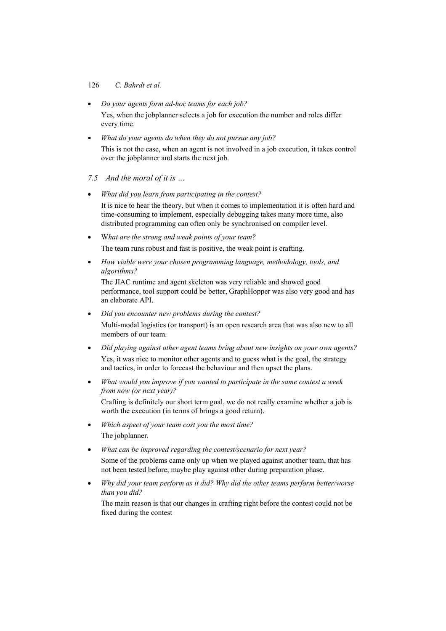- *Do your agents form ad-hoc teams for each job?*  Yes, when the jobplanner selects a job for execution the number and roles differ every time.
- *What do your agents do when they do not pursue any job?*  This is not the case, when an agent is not involved in a job execution, it takes control over the jobplanner and starts the next job.
- *7.5 And the moral of it is …*
- *What did you learn from participating in the contest?*

It is nice to hear the theory, but when it comes to implementation it is often hard and time-consuming to implement, especially debugging takes many more time, also distributed programming can often only be synchronised on compiler level.

- W*hat are the strong and weak points of your team?* The team runs robust and fast is positive, the weak point is crafting.
- *How viable were your chosen programming language, methodology, tools, and algorithms?*

The JIAC runtime and agent skeleton was very reliable and showed good performance, tool support could be better, GraphHopper was also very good and has an elaborate API.

• *Did you encounter new problems during the contest?* 

Multi-modal logistics (or transport) is an open research area that was also new to all members of our team.

- *Did playing against other agent teams bring about new insights on your own agents?*  Yes, it was nice to monitor other agents and to guess what is the goal, the strategy and tactics, in order to forecast the behaviour and then upset the plans.
- *What would you improve if you wanted to participate in the same contest a week from now (or next year)?*

Crafting is definitely our short term goal, we do not really examine whether a job is worth the execution (in terms of brings a good return).

- *Which aspect of your team cost you the most time?*  The jobplanner.
- *What can be improved regarding the contest/scenario for next year?*

Some of the problems came only up when we played against another team, that has not been tested before, maybe play against other during preparation phase.

• *Why did your team perform as it did? Why did the other teams perform better/worse than you did?* 

The main reason is that our changes in crafting right before the contest could not be fixed during the contest